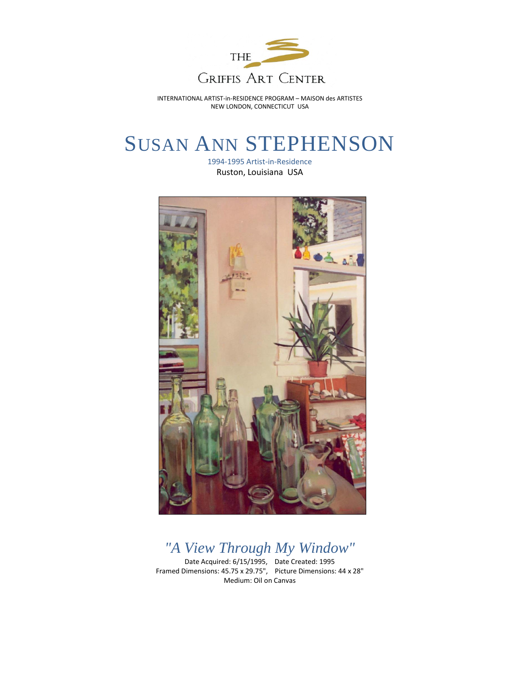

INTERNATIONAL ARTIST-in-RESIDENCE PROGRAM – MAISON des ARTISTES NEW LONDON, CONNECTICUT USA

## SUSAN ANN STEPHENSON

1994-1995 Artist-in-Residence Ruston, Louisiana USA



*"A View Through My Window"*

Date Acquired: 6/15/1995, Date Created: 1995 Framed Dimensions: 45.75 x 29.75", Picture Dimensions: 44 x 28" Medium: Oil on Canvas